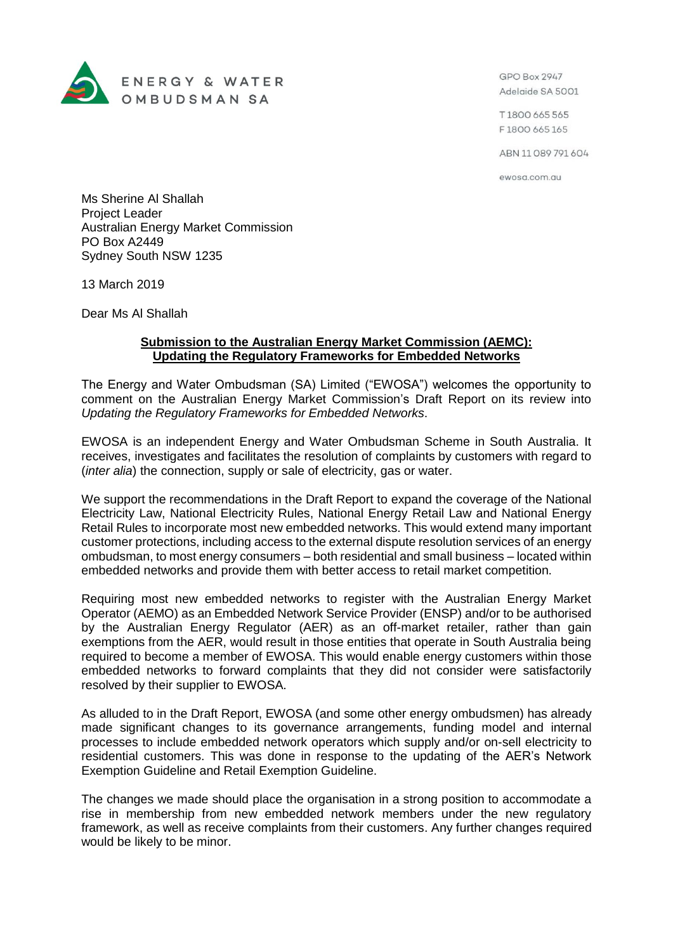

GPO Box 2947 Adelaide SA 5001

T1800 665 565 F1800 665 165

ABN 11 089 791 604

ewosa.com.au

Ms Sherine Al Shallah Project Leader Australian Energy Market Commission PO Box A2449 Sydney South NSW 1235

13 March 2019

Dear Ms Al Shallah

## **Submission to the Australian Energy Market Commission (AEMC): Updating the Regulatory Frameworks for Embedded Networks**

The Energy and Water Ombudsman (SA) Limited ("EWOSA") welcomes the opportunity to comment on the Australian Energy Market Commission's Draft Report on its review into *Updating the Regulatory Frameworks for Embedded Networks*.

EWOSA is an independent Energy and Water Ombudsman Scheme in South Australia. It receives, investigates and facilitates the resolution of complaints by customers with regard to (*inter alia*) the connection, supply or sale of electricity, gas or water.

We support the recommendations in the Draft Report to expand the coverage of the National Electricity Law, National Electricity Rules, National Energy Retail Law and National Energy Retail Rules to incorporate most new embedded networks. This would extend many important customer protections, including access to the external dispute resolution services of an energy ombudsman, to most energy consumers – both residential and small business – located within embedded networks and provide them with better access to retail market competition.

Requiring most new embedded networks to register with the Australian Energy Market Operator (AEMO) as an Embedded Network Service Provider (ENSP) and/or to be authorised by the Australian Energy Regulator (AER) as an off-market retailer, rather than gain exemptions from the AER, would result in those entities that operate in South Australia being required to become a member of EWOSA. This would enable energy customers within those embedded networks to forward complaints that they did not consider were satisfactorily resolved by their supplier to EWOSA.

As alluded to in the Draft Report, EWOSA (and some other energy ombudsmen) has already made significant changes to its governance arrangements, funding model and internal processes to include embedded network operators which supply and/or on-sell electricity to residential customers. This was done in response to the updating of the AER's Network Exemption Guideline and Retail Exemption Guideline.

The changes we made should place the organisation in a strong position to accommodate a rise in membership from new embedded network members under the new regulatory framework, as well as receive complaints from their customers. Any further changes required would be likely to be minor.